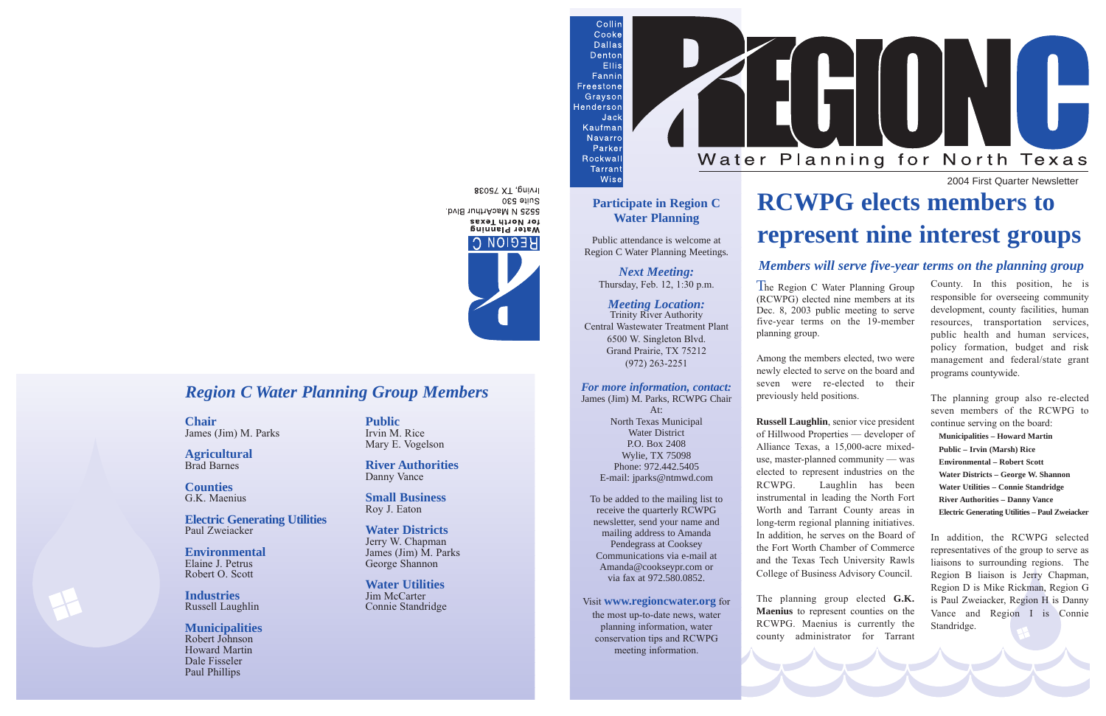2004 First Quarter Newsletter

### *Region C Water Planning Group Members*

**Chair** James (Jim) M. Parks

**Agricultural** Brad Barnes

**Counties** G.K. Maenius

**Electric Generating Utilities** Paul Zweiacker

**Environmental** Elaine J. Petrus Robert O. Scott

**Industries** Russell Laughlin

**Municipalities** Robert Johnson Howard Martin Dale Fisseler Paul Phillips

**Public** Irvin M. Rice Mary E. Vogelson

**River Authorities** Danny Vance

**Small Business** Roy J. Eaton

**Water Districts** Jerry W. Chapman James (Jim) M. Parks George Shannon

**Water Utilities** Jim McCarter Connie Standridge



### **Participate in Region C Water Planning**

Public attendance is welcome at Region C Water Planning Meetings.

> *Next Meeting:* Thursday, Feb. 12, 1:30 p.m.

#### *Meeting Location:* Trinity River Authority

Central Wastewater Treatment Plant 6500 W. Singleton Blvd. Grand Prairie, TX 75212 (972) 263-2251

The Region C Water Planning Group (RCWPG) elected nine members at its Dec. 8, 2003 public meeting to serve five-year terms on the 19-member planning group.

#### *For more information, contact:* James (Jim) M. Parks, RCWPG Chair At:

North Texas Municipal Water District P.O. Box 2408 Wylie, TX 75098 Phone: 972.442.5405 E-mail: jparks@ntmwd.com

To be added to the mailing list to receive the quarterly RCWPG newsletter, send your name and mailing address to Amanda Pendegrass at Cooksey Communications via e-mail at Amanda@cookseypr.com or via fax at 972.580.0852.

### Visit **www.regioncwater.org** for the most up-to-date news, water

planning information, water conservation tips and RCWPG meeting information.

BEOGT XT, pnivil Suite 530 5525 N MacArthur Blvd. for North Texas Water Planing **HEGION C.** 

# **RCWPG elects members to represent nine interest groups**

Among the members elected, two were newly elected to serve on the board and seven were re-elected to their previously held positions.

**Russell Laughlin**, senior vice president of Hillwood Properties — developer of Alliance Texas, a 15,000-acre mixeduse, master-planned community — was elected to represent industries on the RCWPG. Laughlin has been instrumental in leading the North Fort Worth and Tarrant County areas in long-term regional planning initiatives. In addition, he serves on the Board of the Fort Worth Chamber of Commerce and the Texas Tech University Rawls College of Business Advisory Council.

The planning group elected **G.K. Maenius** to represent counties on the RCWPG. Maenius is currently the county administrator for Tarrant

County. In this position, he is responsible for overseeing community development, county facilities, human resources, transportation services, public health and human services, policy formation, budget and risk management and federal/state grant programs countywide.

The planning group also re-elected seven members of the RCWPG to continue serving on the board:

**Municipalities – Howard Martin Public – Irvin (Marsh) Rice Environmental – Robert Scott Water Districts – George W. Shannon Water Utilities – Connie Standridge River Authorities – Danny Vance Electric Generating Utilities – Paul Zweiacker**

In addition, the RCWPG selected representatives of the group to serve as liaisons to surrounding regions. The Region B liaison is Jerry Chapman, Region D is Mike Rickman, Region G is Paul Zweiacker, Region H is Danny Vance and Region I is Connie Standridge.

### *Members will serve five-year terms on the planning group*